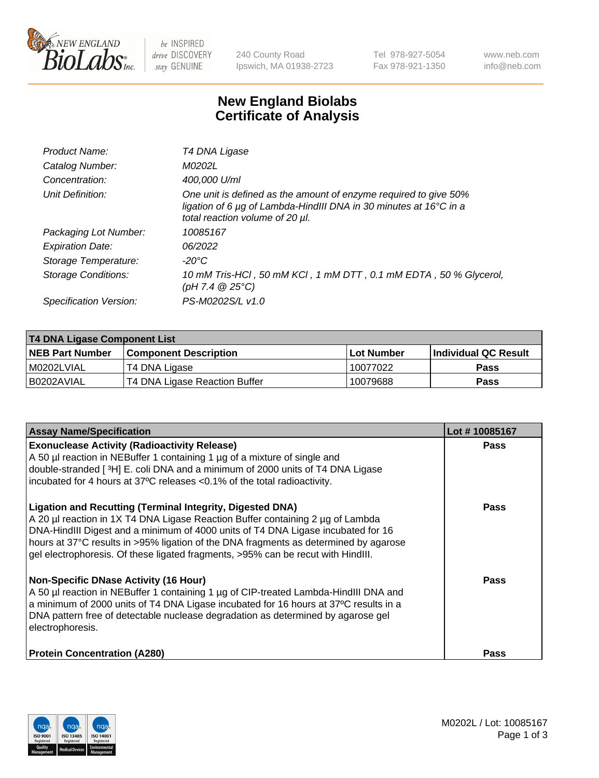

 $be$  INSPIRED drive DISCOVERY stay GENUINE

240 County Road Ipswich, MA 01938-2723 Tel 978-927-5054 Fax 978-921-1350 www.neb.com info@neb.com

## **New England Biolabs Certificate of Analysis**

| Product Name:           | T4 DNA Ligase                                                                                                                                                            |
|-------------------------|--------------------------------------------------------------------------------------------------------------------------------------------------------------------------|
| Catalog Number:         | M0202L                                                                                                                                                                   |
| Concentration:          | 400,000 U/ml                                                                                                                                                             |
| Unit Definition:        | One unit is defined as the amount of enzyme required to give 50%<br>ligation of 6 µg of Lambda-HindIII DNA in 30 minutes at 16°C in a<br>total reaction volume of 20 µl. |
| Packaging Lot Number:   | 10085167                                                                                                                                                                 |
| <b>Expiration Date:</b> | 06/2022                                                                                                                                                                  |
| Storage Temperature:    | $-20^{\circ}$ C                                                                                                                                                          |
| Storage Conditions:     | 10 mM Tris-HCl, 50 mM KCl, 1 mM DTT, 0.1 mM EDTA, 50 % Glycerol,<br>(pH 7.4 $@25°C$ )                                                                                    |
| Specification Version:  | PS-M0202S/L v1.0                                                                                                                                                         |

| T4 DNA Ligase Component List |                               |              |                             |  |  |
|------------------------------|-------------------------------|--------------|-----------------------------|--|--|
| <b>NEB Part Number</b>       | <b>Component Description</b>  | l Lot Number | <b>Individual QC Result</b> |  |  |
| M0202LVIAL                   | T4 DNA Ligase                 | 10077022     | <b>Pass</b>                 |  |  |
| I B0202AVIAL                 | T4 DNA Ligase Reaction Buffer | 10079688     | <b>Pass</b>                 |  |  |

| <b>Assay Name/Specification</b>                                                                                                                                                                                                                                                                                                                                                                                    | Lot #10085167 |
|--------------------------------------------------------------------------------------------------------------------------------------------------------------------------------------------------------------------------------------------------------------------------------------------------------------------------------------------------------------------------------------------------------------------|---------------|
| <b>Exonuclease Activity (Radioactivity Release)</b><br>A 50 µl reaction in NEBuffer 1 containing 1 µg of a mixture of single and<br>double-stranded [3H] E. coli DNA and a minimum of 2000 units of T4 DNA Ligase<br>incubated for 4 hours at 37°C releases <0.1% of the total radioactivity.                                                                                                                      | <b>Pass</b>   |
| <b>Ligation and Recutting (Terminal Integrity, Digested DNA)</b><br>A 20 µl reaction in 1X T4 DNA Ligase Reaction Buffer containing 2 µg of Lambda<br>DNA-HindIII Digest and a minimum of 4000 units of T4 DNA Ligase incubated for 16<br>hours at 37°C results in >95% ligation of the DNA fragments as determined by agarose<br>gel electrophoresis. Of these ligated fragments, >95% can be recut with HindIII. | <b>Pass</b>   |
| <b>Non-Specific DNase Activity (16 Hour)</b><br>A 50 µl reaction in NEBuffer 1 containing 1 µg of CIP-treated Lambda-HindIII DNA and<br>a minimum of 2000 units of T4 DNA Ligase incubated for 16 hours at 37°C results in a<br>DNA pattern free of detectable nuclease degradation as determined by agarose gel<br>electrophoresis.                                                                               | Pass          |
| <b>Protein Concentration (A280)</b>                                                                                                                                                                                                                                                                                                                                                                                | Pass          |

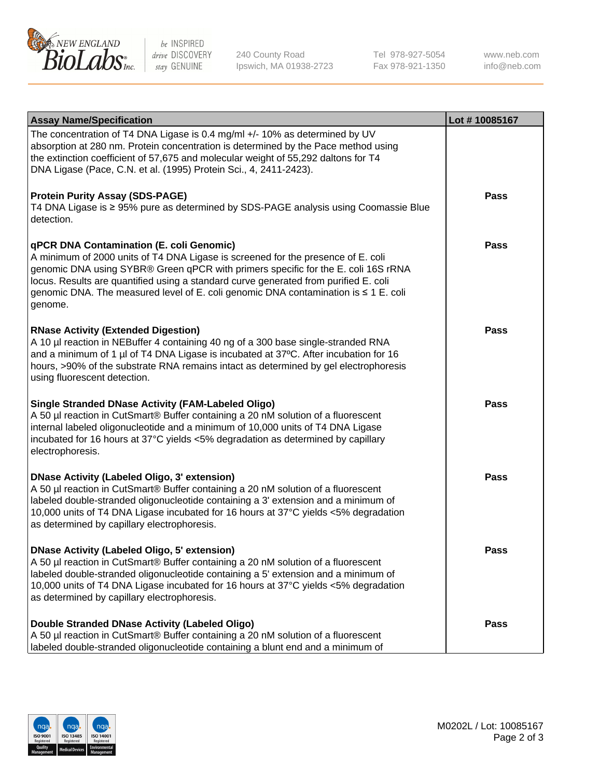

be INSPIRED drive DISCOVERY stay GENUINE

240 County Road Ipswich, MA 01938-2723 Tel 978-927-5054 Fax 978-921-1350

www.neb.com info@neb.com

| <b>Assay Name/Specification</b>                                                                                                                                                                                                                                                                                                                                                                             | Lot #10085167 |
|-------------------------------------------------------------------------------------------------------------------------------------------------------------------------------------------------------------------------------------------------------------------------------------------------------------------------------------------------------------------------------------------------------------|---------------|
| The concentration of T4 DNA Ligase is 0.4 mg/ml +/- 10% as determined by UV<br>absorption at 280 nm. Protein concentration is determined by the Pace method using<br>the extinction coefficient of 57,675 and molecular weight of 55,292 daltons for T4<br>DNA Ligase (Pace, C.N. et al. (1995) Protein Sci., 4, 2411-2423).                                                                                |               |
| <b>Protein Purity Assay (SDS-PAGE)</b><br>T4 DNA Ligase is ≥ 95% pure as determined by SDS-PAGE analysis using Coomassie Blue<br>detection.                                                                                                                                                                                                                                                                 | Pass          |
| qPCR DNA Contamination (E. coli Genomic)<br>A minimum of 2000 units of T4 DNA Ligase is screened for the presence of E. coli<br>genomic DNA using SYBR® Green qPCR with primers specific for the E. coli 16S rRNA<br>locus. Results are quantified using a standard curve generated from purified E. coli<br>genomic DNA. The measured level of E. coli genomic DNA contamination is ≤ 1 E. coli<br>genome. | Pass          |
| <b>RNase Activity (Extended Digestion)</b><br>A 10 µl reaction in NEBuffer 4 containing 40 ng of a 300 base single-stranded RNA<br>and a minimum of 1 µl of T4 DNA Ligase is incubated at 37°C. After incubation for 16<br>hours, >90% of the substrate RNA remains intact as determined by gel electrophoresis<br>using fluorescent detection.                                                             | Pass          |
| <b>Single Stranded DNase Activity (FAM-Labeled Oligo)</b><br>A 50 µl reaction in CutSmart® Buffer containing a 20 nM solution of a fluorescent<br>internal labeled oligonucleotide and a minimum of 10,000 units of T4 DNA Ligase<br>incubated for 16 hours at 37°C yields <5% degradation as determined by capillary<br>electrophoresis.                                                                   | <b>Pass</b>   |
| <b>DNase Activity (Labeled Oligo, 3' extension)</b><br>A 50 µl reaction in CutSmart® Buffer containing a 20 nM solution of a fluorescent<br>labeled double-stranded oligonucleotide containing a 3' extension and a minimum of<br>10,000 units of T4 DNA Ligase incubated for 16 hours at 37°C yields <5% degradation<br>as determined by capillary electrophoresis.                                        | Pass          |
| <b>DNase Activity (Labeled Oligo, 5' extension)</b><br>A 50 µl reaction in CutSmart® Buffer containing a 20 nM solution of a fluorescent<br>labeled double-stranded oligonucleotide containing a 5' extension and a minimum of<br>10,000 units of T4 DNA Ligase incubated for 16 hours at 37°C yields <5% degradation<br>as determined by capillary electrophoresis.                                        | Pass          |
| Double Stranded DNase Activity (Labeled Oligo)<br>A 50 µl reaction in CutSmart® Buffer containing a 20 nM solution of a fluorescent<br>labeled double-stranded oligonucleotide containing a blunt end and a minimum of                                                                                                                                                                                      | Pass          |